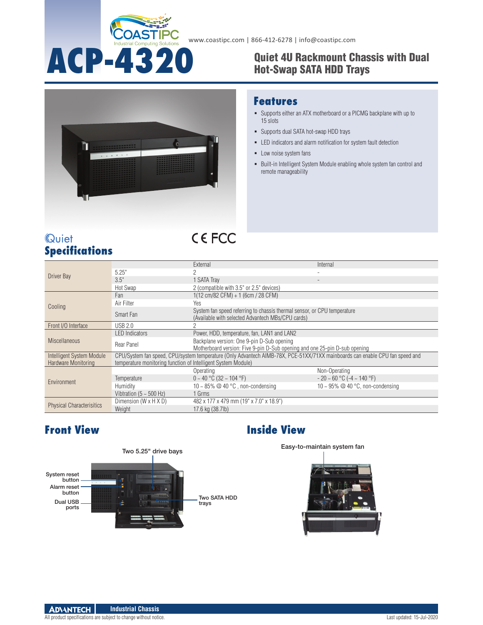

# **ACP-4320** Quiet 4U Rackmount Chassis with Dual Hot-Swap SATA HDD Trays



#### **Features**

- Supports either an ATX motherboard or a PICMG backplane with up to 15 slots
- Supports dual SATA hot-swap HDD trays
- LED indicators and alarm notification for system fault detection
- **Low noise system fans**
- Built-in Intelligent System Module enabling whole system fan control and remote manageability

| Quiet |                       |  |
|-------|-----------------------|--|
|       | <b>Specifications</b> |  |

# **CEFCC**

| Driver Bay                       |                                                                                                                                                                                               | External                                                                                                                      | Internal                             |  |
|----------------------------------|-----------------------------------------------------------------------------------------------------------------------------------------------------------------------------------------------|-------------------------------------------------------------------------------------------------------------------------------|--------------------------------------|--|
|                                  | 5.25"                                                                                                                                                                                         | ŋ                                                                                                                             |                                      |  |
|                                  | 3.5"                                                                                                                                                                                          | 1 SATA Tray                                                                                                                   |                                      |  |
|                                  | Hot Swap                                                                                                                                                                                      | 2 (compatible with 3.5" or 2.5" devices)                                                                                      |                                      |  |
| Cooling                          | Fan                                                                                                                                                                                           | 1(12 cm/82 CFM) + 1 (6cm / 28 CFM)                                                                                            |                                      |  |
|                                  | Air Filter                                                                                                                                                                                    | Yes                                                                                                                           |                                      |  |
|                                  | Smart Fan                                                                                                                                                                                     | System fan speed referring to chassis thermal sensor, or CPU temperature<br>(Available with selected Advantech MBs/CPU cards) |                                      |  |
| Front I/O Interface              | <b>USB 2.0</b>                                                                                                                                                                                |                                                                                                                               |                                      |  |
| <b>Miscellaneous</b>             | <b>LED</b> Indicators                                                                                                                                                                         | Power, HDD, temperature, fan, LAN1 and LAN2                                                                                   |                                      |  |
|                                  | Rear Panel                                                                                                                                                                                    | Backplane version: One 9-pin D-Sub opening<br>Motherboard version: Five 9-pin D-Sub opening and one 25-pin D-sub opening      |                                      |  |
| Intelligent System Module        |                                                                                                                                                                                               |                                                                                                                               |                                      |  |
| Hardware Monitoring              | CPU/System fan speed, CPU/system temperature (Only Advantech AIMB-78X, PCE-51XX/71XX mainboards can enable CPU fan speed and<br>temperature monitoring function of Intelligent System Module) |                                                                                                                               |                                      |  |
|                                  |                                                                                                                                                                                               |                                                                                                                               |                                      |  |
| Environment                      |                                                                                                                                                                                               | Operating                                                                                                                     | Non-Operating                        |  |
|                                  | Temperature                                                                                                                                                                                   | $0 \sim 40$ °C (32 ~ 104 °F)                                                                                                  | $-20 \sim 60$ °C ( $-4 \sim 140$ °F) |  |
|                                  | Humidity                                                                                                                                                                                      | 10 ~ 85% $@$ 40 °C, non-condensing                                                                                            | 10 ~ 95% $@$ 40 °C, non-condensing   |  |
|                                  | Vibtration ( $5 \sim 500$ Hz)                                                                                                                                                                 | 1 Grms                                                                                                                        |                                      |  |
| <b>Physical Characterisitics</b> | Dimension (W x H X D)                                                                                                                                                                         | 482 x 177 x 479 mm (19" x 7.0" x 18.9")                                                                                       |                                      |  |
|                                  | Weight                                                                                                                                                                                        | 17.6 kg (38.7lb)                                                                                                              |                                      |  |



#### **Front View Inside View**



#### **ADVANTECH Industrial Chassis**

All product specifications are subject to change without notice. Last updated: 15-Jul-2020